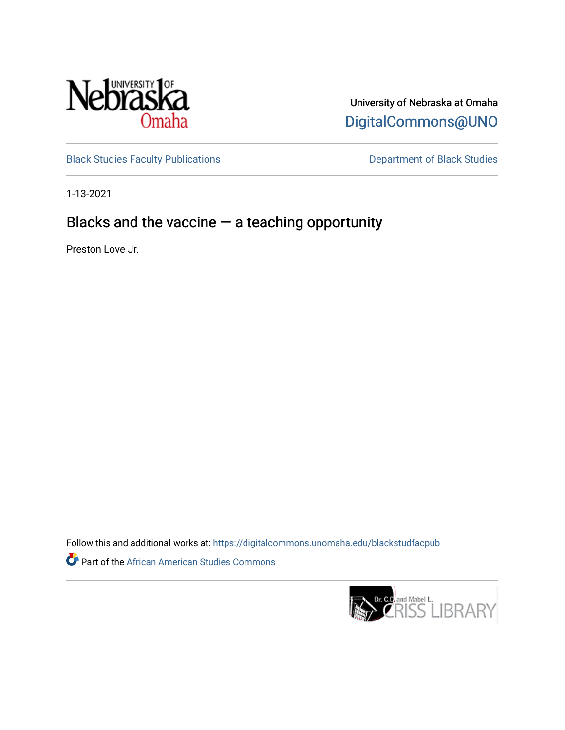

University of Nebraska at Omaha [DigitalCommons@UNO](https://digitalcommons.unomaha.edu/) 

[Black Studies Faculty Publications](https://digitalcommons.unomaha.edu/blackstudfacpub) **Department of Black Studies** 

1-13-2021

## Blacks and the vaccine  $-$  a teaching opportunity

Preston Love Jr.

Follow this and additional works at: [https://digitalcommons.unomaha.edu/blackstudfacpub](https://digitalcommons.unomaha.edu/blackstudfacpub?utm_source=digitalcommons.unomaha.edu%2Fblackstudfacpub%2F81&utm_medium=PDF&utm_campaign=PDFCoverPages)

**Part of the African American Studies Commons** 

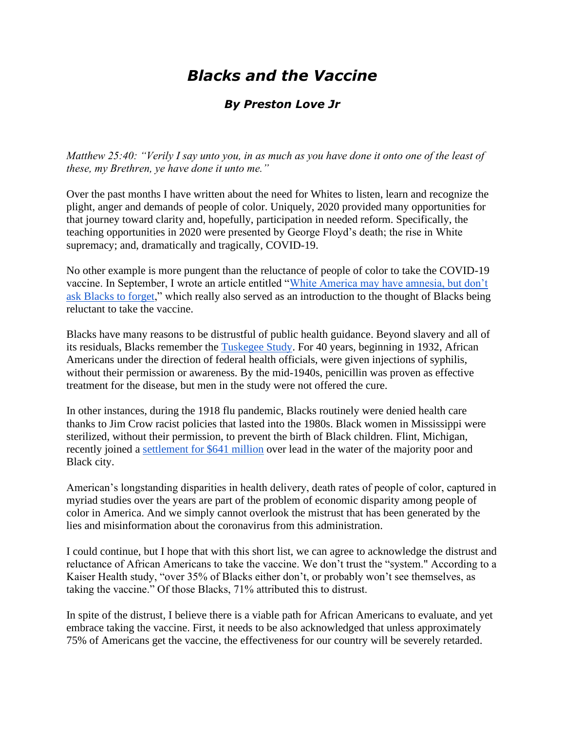## *Blacks and the Vaccine*

## *By Preston Love Jr*

*Matthew 25:40: "Verily I say unto you, in as much as you have done it onto one of the least of these, my Brethren, ye have done it unto me."*

Over the past months I have written about the need for Whites to listen, learn and recognize the plight, anger and demands of people of color. Uniquely, 2020 provided many opportunities for that journey toward clarity and, hopefully, participation in needed reform. Specifically, the teaching opportunities in 2020 were presented by George Floyd's death; the rise in White supremacy; and, dramatically and tragically, COVID-19.

No other example is more pungent than the reluctance of people of color to take the COVID-19 vaccine. In September, I wrote an article entitled ["White America may have amnesia, but don't](https://omaha.com/opinion/columnists/preston-love-jr-white-america-may-have-amnesia-but-dont-ask-blacks-to-forget/article_8f34df34-bcd6-5854-bba9-d247a3314e49.html)  [ask Blacks to forget,](https://omaha.com/opinion/columnists/preston-love-jr-white-america-may-have-amnesia-but-dont-ask-blacks-to-forget/article_8f34df34-bcd6-5854-bba9-d247a3314e49.html)" which really also served as an introduction to the thought of Blacks being reluctant to take the vaccine.

Blacks have many reasons to be distrustful of public health guidance. Beyond slavery and all of its residuals, Blacks remember the [Tuskegee Study.](https://www.cdc.gov/tuskegee/timeline.htm) For 40 years, beginning in 1932, African Americans under the direction of federal health officials, were given injections of syphilis, without their permission or awareness. By the mid-1940s, penicillin was proven as effective treatment for the disease, but men in the study were not offered the cure.

In other instances, during the 1918 flu pandemic, Blacks routinely were denied health care thanks to Jim Crow racist policies that lasted into the 1980s. Black women in Mississippi were sterilized, without their permission, to prevent the birth of Black children. Flint, Michigan, recently joined a [settlement for \\$641 million](https://www.pbs.org/newshour/nation/flint-joins-641-million-deal-to-settle-lawsuits-over-lead-in-water) over lead in the water of the majority poor and Black city.

American's longstanding disparities in health delivery, death rates of people of color, captured in myriad studies over the years are part of the problem of economic disparity among people of color in America. And we simply cannot overlook the mistrust that has been generated by the lies and misinformation about the coronavirus from this administration.

I could continue, but I hope that with this short list, we can agree to acknowledge the distrust and reluctance of African Americans to take the vaccine. We don't trust the "system." According to a Kaiser Health study, "over 35% of Blacks either don't, or probably won't see themselves, as taking the vaccine." Of those Blacks, 71% attributed this to distrust.

In spite of the distrust, I believe there is a viable path for African Americans to evaluate, and yet embrace taking the vaccine. First, it needs to be also acknowledged that unless approximately 75% of Americans get the vaccine, the effectiveness for our country will be severely retarded.